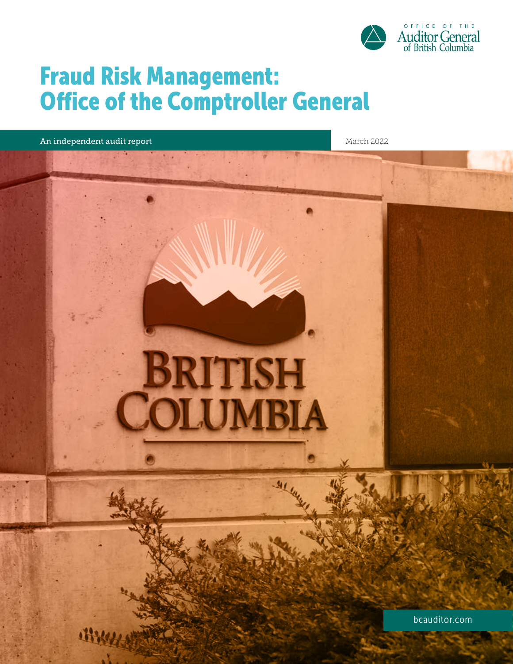

# Fraud Risk Management: Office of the Comptroller General

An independent audit report March 2022 and March 2022

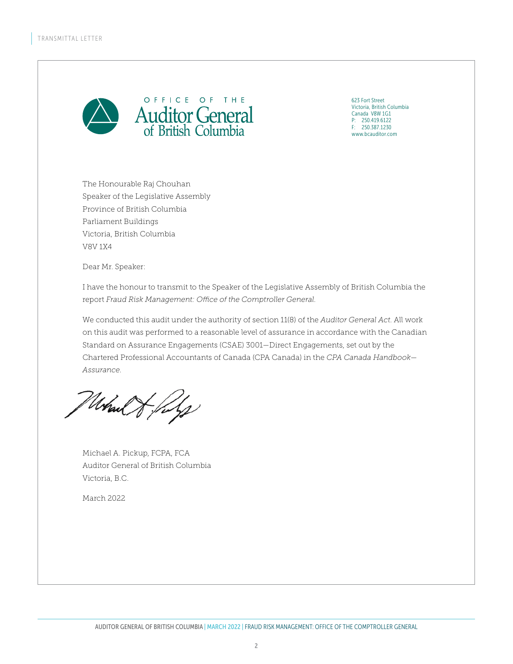

623 Fort Street Victoria, British Columbia Canada V8W 1G1 P: 250.419.6122 F: 250.387.1230 www.bcauditor.com

The Honourable Raj Chouhan Speaker of the Legislative Assembly Province of British Columbia Parliament Buildings Victoria, British Columbia V8V 1X4

Dear Mr. Speaker:

I have the honour to transmit to the Speaker of the Legislative Assembly of British Columbia the report *Fraud Risk Management: Office of the Comptroller General*.

We conducted this audit under the authority of section 11(8) of the *Auditor General Act*. All work on this audit was performed to a reasonable level of assurance in accordance with the Canadian Standard on Assurance Engagements (CSAE) 3001—Direct Engagements, set out by the Chartered Professional Accountants of Canada (CPA Canada) in the *CPA Canada Handbook— Assurance*.

Mal & files

Michael A. Pickup, FCPA, FCA Auditor General of British Columbia Victoria, B.C.

March 2022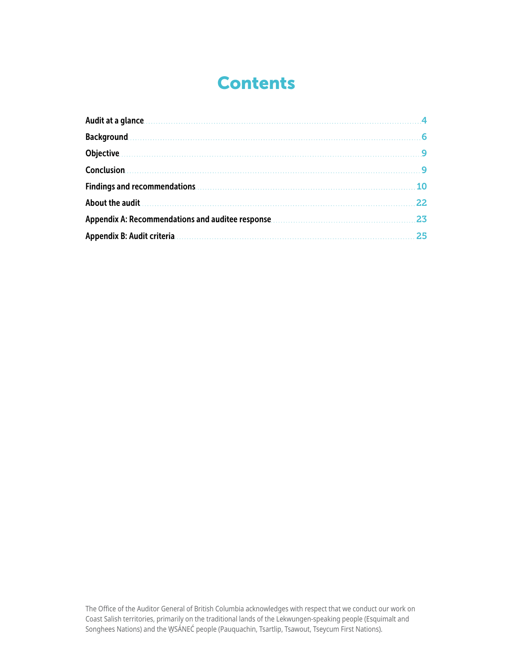# Contents

| Audit at a glance                                                                                                                                                                                                                    |           |
|--------------------------------------------------------------------------------------------------------------------------------------------------------------------------------------------------------------------------------------|-----------|
| <b>Background 2000 Contract Contract Contract Contract Contract Contract Contract Contract Contract Contract Contract Contract Contract Contract Contract Contract Contract Contract Contract Contract Contract Contract Contrac</b> |           |
| Objective <u>subsective</u> and the set of the set of the set of the set of the set of the set of the set of the set o                                                                                                               |           |
|                                                                                                                                                                                                                                      |           |
|                                                                                                                                                                                                                                      | <b>10</b> |
|                                                                                                                                                                                                                                      | 22        |
| Appendix A: Recommendations and auditee response <b>Communications</b> and and all the sequence of the sequence of the                                                                                                               | 23        |
|                                                                                                                                                                                                                                      | 25        |

The Office of the Auditor General of British Columbia acknowledges with respect that we conduct our work on Coast Salish territories, primarily on the traditional lands of the Lekwungen-speaking people (Esquimalt and Songhees Nations) and the WSANEC people (Pauquachin, Tsartlip, Tsawout, Tseycum First Nations).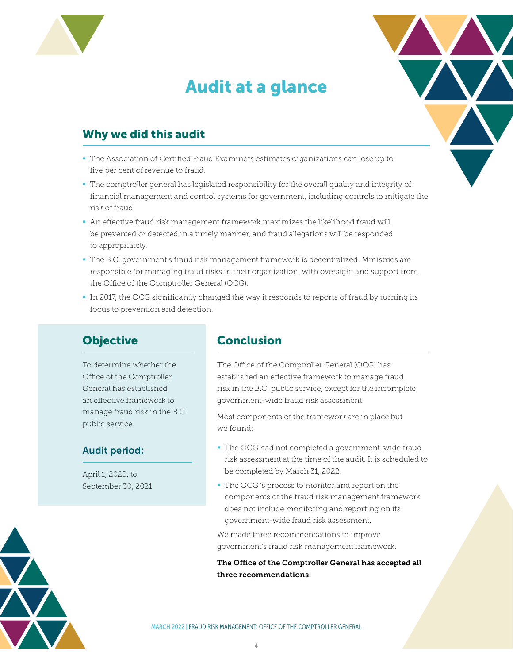<span id="page-3-0"></span>

# Audit at a glance



## Why we did this audit

- The Association of Certified Fraud Examiners estimates organizations can lose up to five per cent of revenue to fraud.
- The comptroller general has legislated responsibility for the overall quality and integrity of financial management and control systems for government, including controls to mitigate the risk of fraud.
- An effective fraud risk management framework maximizes the likelihood fraud will be prevented or detected in a timely manner, and fraud allegations will be responded to appropriately.
- The B.C. government's fraud risk management framework is decentralized. Ministries are responsible for managing fraud risks in their organization, with oversight and support from the Office of the Comptroller General (OCG).
- In 2017, the OCG significantly changed the way it responds to reports of fraud by turning its focus to prevention and detection.

## **Objective**

To determine whether the Office of the Comptroller General has established an effective framework to manage fraud risk in the B.C. public service.

### Audit period:

April 1, 2020, to September 30, 2021

### **Conclusion**

The Office of the Comptroller General (OCG) has established an effective framework to manage fraud risk in the B.C. public service, except for the incomplete government-wide fraud risk assessment.

Most components of the framework are in place but we found:

- The OCG had not completed a government-wide fraud risk assessment at the time of the audit. It is scheduled to be completed by March 31, 2022.
- The OCG 's process to monitor and report on the components of the fraud risk management framework does not include monitoring and reporting on its government-wide fraud risk assessment.

We made three recommendations to improve government's fraud risk management framework.

The Office of the Comptroller General has accepted all three recommendations.

MARCH 2022 | FRAUD RISK MANAGEMENT: OFFICE OF THE COMPTROLLER GENERAL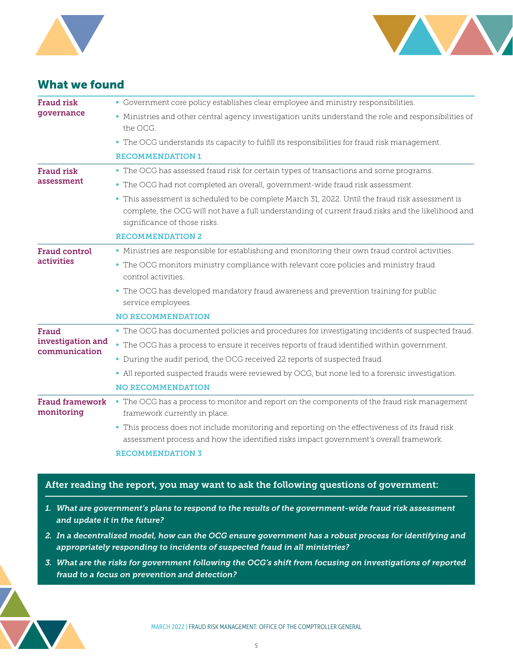



### What we found

| <b>Fraud risk</b><br>qovernance             | • Government core policy establishes clear employee and ministry responsibilities.                                                                                                        |
|---------------------------------------------|-------------------------------------------------------------------------------------------------------------------------------------------------------------------------------------------|
|                                             | • Ministries and other central agency investigation units understand the role and responsibilities of<br>the OCG.                                                                         |
|                                             | • The OCG understands its capacity to fulfill its responsibilities for fraud risk management.                                                                                             |
|                                             | <b>RECOMMENDATION 1</b>                                                                                                                                                                   |
| <b>Fraud risk</b><br>assessment             | • The OCG has assessed fraud risk for certain types of transactions and some programs.                                                                                                    |
|                                             | . The OCG had not completed an overall, government-wide fraud risk assessment.                                                                                                            |
|                                             | This assessment is scheduled to be complete March 31, 2022. Until the fraud risk assessment is                                                                                            |
|                                             | complete, the OCG will not have a full understanding of current fraud risks and the likelihood and<br>significance of those risks.                                                        |
|                                             | <b>RECOMMENDATION 2</b>                                                                                                                                                                   |
| <b>Fraud control</b><br><i>activities</i>   | • Ministries are responsible for establishing and monitoring their own fraud control activities.                                                                                          |
|                                             | • The OCG monitors ministry compliance with relevant core policies and ministry fraud<br>control activities.                                                                              |
|                                             | • The OCG has developed mandatory fraud awareness and prevention training for public<br>service employees.                                                                                |
|                                             | <b>NO RECOMMENDATION</b>                                                                                                                                                                  |
| Fraud<br>investigation and<br>communication | • The OCG has documented policies and procedures for investigating incidents of suspected fraud.                                                                                          |
|                                             | - The OCG has a process to ensure it receives reports of fraud identified within government.                                                                                              |
|                                             | • During the audit period, the OCG received 22 reports of suspected fraud.                                                                                                                |
|                                             | - All reported suspected frauds were reviewed by OCG, but none led to a forensic investigation.                                                                                           |
|                                             | <b>NO RECOMMENDATION</b>                                                                                                                                                                  |
| <b>Fraud framework</b><br>monitoring        | • The OCG has a process to monitor and report on the components of the fraud risk management<br>framework currently in place.                                                             |
|                                             | • This process does not include monitoring and reporting on the effectiveness of its fraud risk<br>assessment process and how the identified risks impact government's overall framework. |
|                                             | <b>RECOMMENDATION 3</b>                                                                                                                                                                   |

#### After reading the report, you may want to ask the following questions of government:

- *1. What are government's plans to respond to the results of the government-wide fraud risk assessment and update it in the future?*
- *2. In a decentralized model, how can the OCG ensure government has a robust process for identifying and appropriately responding to incidents of suspected fraud in all ministries?*
- *3. What are the risks for government following the OCG's shift from focusing on investigations of reported fraud to a focus on prevention and detection?*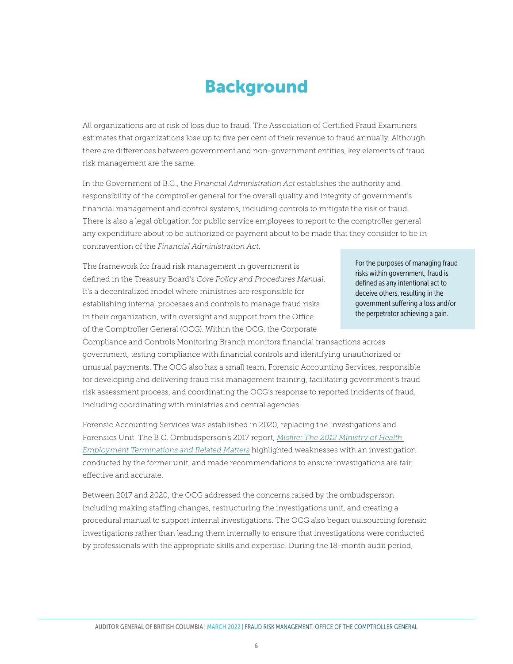## Background

<span id="page-5-0"></span>All organizations are at risk of loss due to fraud. The Association of Certified Fraud Examiners estimates that organizations lose up to five per cent of their revenue to fraud annually. Although there are differences between government and non-government entities, key elements of fraud risk management are the same.

In the Government of B.C., the *Financial Administration Act* establishes the authority and responsibility of the comptroller general for the overall quality and integrity of government's financial management and control systems, including controls to mitigate the risk of fraud. There is also a legal obligation for public service employees to report to the comptroller general any expenditure about to be authorized or payment about to be made that they consider to be in contravention of the *Financial Administration Act*.

The framework for fraud risk management in government is defined in the Treasury Board's *Core Policy and Procedures Manual*. It's a decentralized model where ministries are responsible for establishing internal processes and controls to manage fraud risks in their organization, with oversight and support from the Office of the Comptroller General (OCG). Within the OCG, the Corporate

For the purposes of managing fraud risks within government, fraud is defined as any intentional act to deceive others, resulting in the government suffering a loss and/or the perpetrator achieving a gain.

Compliance and Controls Monitoring Branch monitors financial transactions across government, testing compliance with financial controls and identifying unauthorized or unusual payments. The OCG also has a small team, Forensic Accounting Services, responsible for developing and delivering fraud risk management training, facilitating government's fraud risk assessment process, and coordinating the OCG's response to reported incidents of fraud, including coordinating with ministries and central agencies.

Forensic Accounting Services was established in 2020, replacing the Investigations and Forensics Unit. The B.C. Ombudsperson's 2017 report, *[Misfire: The 2012 Ministry of Health](https://bcombudsperson.ca/investigative_report/misfire-the-2012-ministry-of-health-employment-terminations-and-related-matters/)  [Employment Terminations and Related Matters](https://bcombudsperson.ca/investigative_report/misfire-the-2012-ministry-of-health-employment-terminations-and-related-matters/)* highlighted weaknesses with an investigation conducted by the former unit, and made recommendations to ensure investigations are fair, effective and accurate.

Between 2017 and 2020, the OCG addressed the concerns raised by the ombudsperson including making staffing changes, restructuring the investigations unit, and creating a procedural manual to support internal investigations. The OCG also began outsourcing forensic investigations rather than leading them internally to ensure that investigations were conducted by professionals with the appropriate skills and expertise. During the 18-month audit period,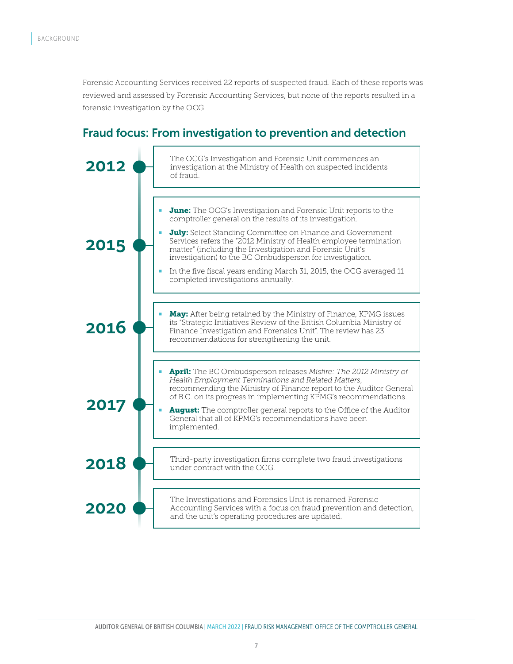Forensic Accounting Services received 22 reports of suspected fraud. Each of these reports was reviewed and assessed by Forensic Accounting Services, but none of the reports resulted in a forensic investigation by the OCG.

### Fraud focus: From investigation to prevention and detection

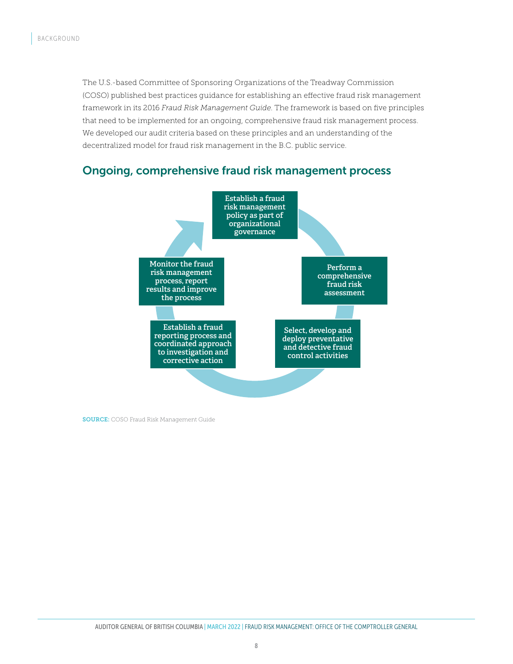The U.S.-based Committee of Sponsoring Organizations of the Treadway Commission (COSO) published best practices guidance for establishing an effective fraud risk management framework in its 2016 *Fraud Risk Management Guide*. The framework is based on five principles that need to be implemented for an ongoing, comprehensive fraud risk management process. We developed our audit criteria based on these principles and an understanding of the decentralized model for fraud risk management in the B.C. public service.

### Ongoing, comprehensive fraud risk management process



SOURCE: COSO Fraud Risk Management Guide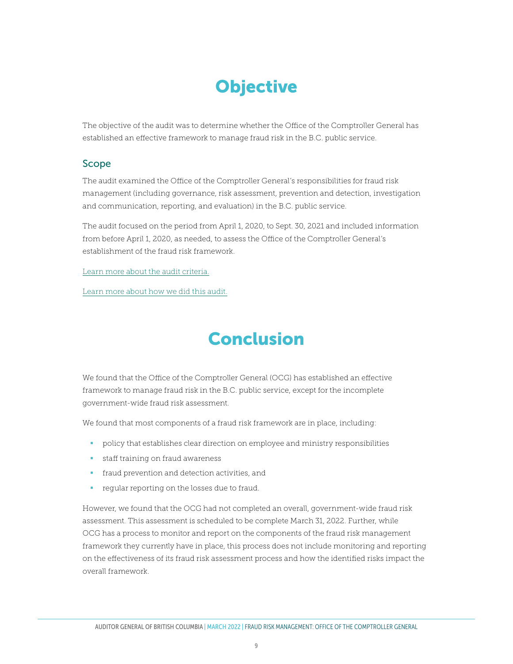# **Objective**

<span id="page-8-0"></span>The objective of the audit was to determine whether the Office of the Comptroller General has established an effective framework to manage fraud risk in the B.C. public service.

#### Scope

The audit examined the Office of the Comptroller General's responsibilities for fraud risk management (including governance, risk assessment, prevention and detection, investigation and communication, reporting, and evaluation) in the B.C. public service.

The audit focused on the period from April 1, 2020, to Sept. 30, 2021 and included information from before April 1, 2020, as needed, to assess the Office of the Comptroller General's establishment of the fraud risk framework.

[Learn more about the audit criteria.](#page-24-1)

[Learn more about how we did this audit.](#page-21-1)

# Conclusion

We found that the Office of the Comptroller General (OCG) has established an effective framework to manage fraud risk in the B.C. public service, except for the incomplete government-wide fraud risk assessment.

We found that most components of a fraud risk framework are in place, including:

- policy that establishes clear direction on employee and ministry responsibilities
- **staff training on fraud awareness**
- **fraud prevention and detection activities, and**
- **regular reporting on the losses due to fraud.**

However, we found that the OCG had not completed an overall, government-wide fraud risk assessment. This assessment is scheduled to be complete March 31, 2022. Further, while OCG has a process to monitor and report on the components of the fraud risk management framework they currently have in place, this process does not include monitoring and reporting on the effectiveness of its fraud risk assessment process and how the identified risks impact the overall framework.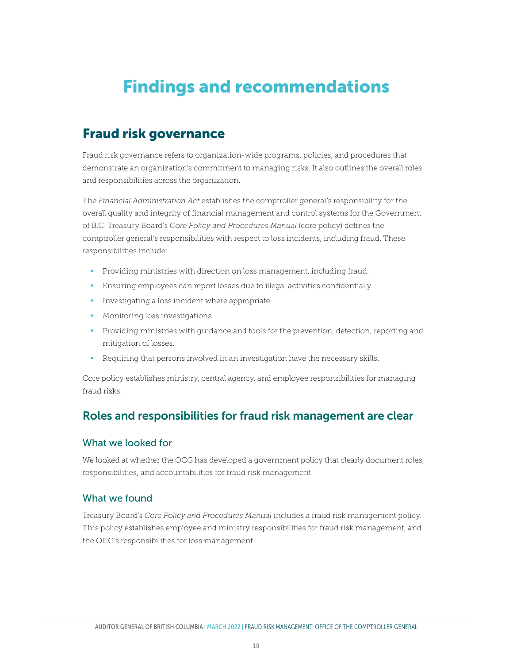# <span id="page-9-0"></span>Findings and recommendations

## Fraud risk governance

Fraud risk governance refers to organization-wide programs, policies, and procedures that demonstrate an organization's commitment to managing risks. It also outlines the overall roles and responsibilities across the organization.

The *Financial Administration Act* establishes the comptroller general's responsibility for the overall quality and integrity of financial management and control systems for the Government of B.C. Treasury Board's *Core Policy and Procedures Manual* (core policy) defines the comptroller general's responsibilities with respect to loss incidents, including fraud. These responsibilities include:

- **Providing ministries with direction on loss management, including fraud.**
- Ensuring employees can report losses due to illegal activities confidentially.
- **Investigating a loss incident where appropriate.**
- **Monitoring loss investigations.**
- **Providing ministries with guidance and tools for the prevention, detection, reporting and** mitigation of losses.
- Requiring that persons involved in an investigation have the necessary skills.

Core policy establishes ministry, central agency, and employee responsibilities for managing fraud risks.

### Roles and responsibilities for fraud risk management are clear

#### What we looked for

We looked at whether the OCG has developed a government policy that clearly document roles, responsibilities, and accountabilities for fraud risk management.

#### What we found

Treasury Board's *Core Policy and Procedures Manual* includes a fraud risk management policy. This policy establishes employee and ministry responsibilities for fraud risk management, and the OCG's responsibilities for loss management.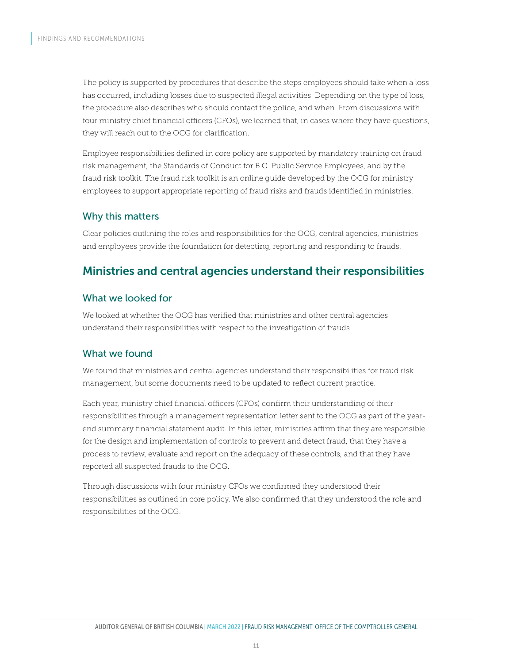The policy is supported by procedures that describe the steps employees should take when a loss has occurred, including losses due to suspected illegal activities. Depending on the type of loss, the procedure also describes who should contact the police, and when. From discussions with four ministry chief financial officers (CFOs), we learned that, in cases where they have questions, they will reach out to the OCG for clarification.

Employee responsibilities defined in core policy are supported by mandatory training on fraud risk management, the Standards of Conduct for B.C. Public Service Employees, and by the fraud risk toolkit. The fraud risk toolkit is an online guide developed by the OCG for ministry employees to support appropriate reporting of fraud risks and frauds identified in ministries.

### Why this matters

Clear policies outlining the roles and responsibilities for the OCG, central agencies, ministries and employees provide the foundation for detecting, reporting and responding to frauds.

### Ministries and central agencies understand their responsibilities

### What we looked for

We looked at whether the OCG has verified that ministries and other central agencies understand their responsibilities with respect to the investigation of frauds.

### What we found

We found that ministries and central agencies understand their responsibilities for fraud risk management, but some documents need to be updated to reflect current practice.

Each year, ministry chief financial officers (CFOs) confirm their understanding of their responsibilities through a management representation letter sent to the OCG as part of the yearend summary financial statement audit. In this letter, ministries affirm that they are responsible for the design and implementation of controls to prevent and detect fraud, that they have a process to review, evaluate and report on the adequacy of these controls, and that they have reported all suspected frauds to the OCG.

Through discussions with four ministry CFOs we confirmed they understood their responsibilities as outlined in core policy. We also confirmed that they understood the role and responsibilities of the OCG.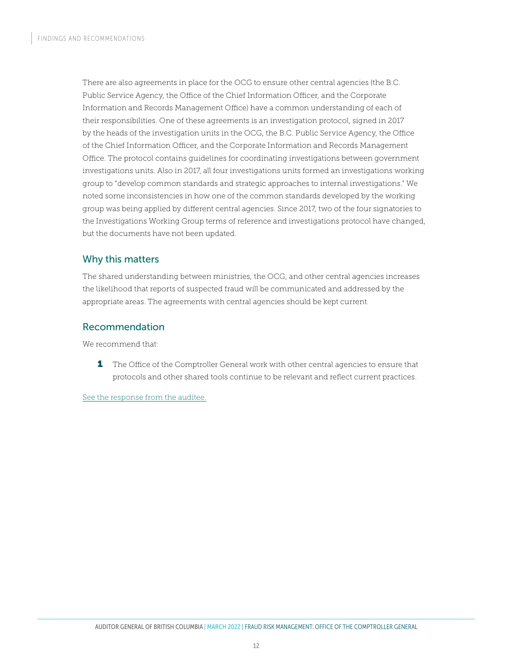There are also agreements in place for the OCG to ensure other central agencies (the B.C. Public Service Agency, the Office of the Chief Information Officer, and the Corporate Information and Records Management Office) have a common understanding of each of their responsibilities. One of these agreements is an investigation protocol, signed in 2017 by the heads of the investigation units in the OCG, the B.C. Public Service Agency, the Office of the Chief Information Officer, and the Corporate Information and Records Management Office. The protocol contains guidelines for coordinating investigations between government investigations units. Also in 2017, all four investigations units formed an investigations working group to "develop common standards and strategic approaches to internal investigations." We noted some inconsistencies in how one of the common standards developed by the working group was being applied by different central agencies. Since 2017, two of the four signatories to the Investigations Working Group terms of reference and investigations protocol have changed, but the documents have not been updated.

### Why this matters

The shared understanding between ministries, the OCG, and other central agencies increases the likelihood that reports of suspected fraud will be communicated and addressed by the appropriate areas. The agreements with central agencies should be kept current.

### Recommendation

We recommend that:

**1** The Office of the Comptroller General work with other central agencies to ensure that protocols and other shared tools continue to be relevant and reflect current practices.

[See the response from the auditee.](#page-22-1)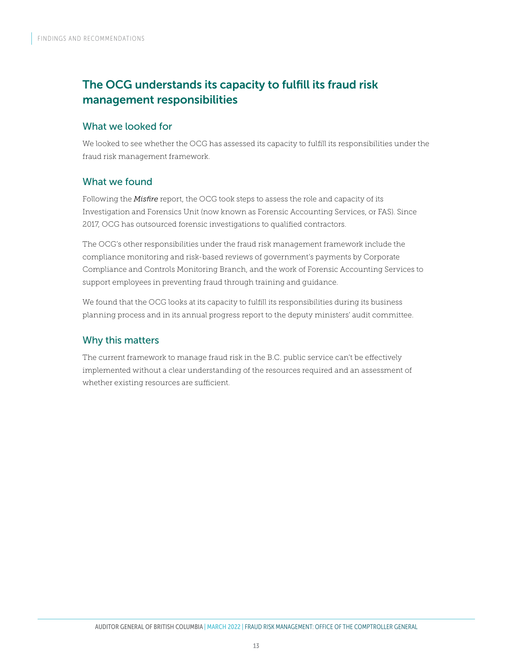## The OCG understands its capacity to fulfill its fraud risk management responsibilities

### What we looked for

We looked to see whether the OCG has assessed its capacity to fulfill its responsibilities under the fraud risk management framework.

### What we found

Following the *Misfire* report, the OCG took steps to assess the role and capacity of its Investigation and Forensics Unit (now known as Forensic Accounting Services, or FAS). Since 2017, OCG has outsourced forensic investigations to qualified contractors.

The OCG's other responsibilities under the fraud risk management framework include the compliance monitoring and risk-based reviews of government's payments by Corporate Compliance and Controls Monitoring Branch, and the work of Forensic Accounting Services to support employees in preventing fraud through training and guidance.

We found that the OCG looks at its capacity to fulfill its responsibilities during its business planning process and in its annual progress report to the deputy ministers' audit committee.

### Why this matters

The current framework to manage fraud risk in the B.C. public service can't be effectively implemented without a clear understanding of the resources required and an assessment of whether existing resources are sufficient.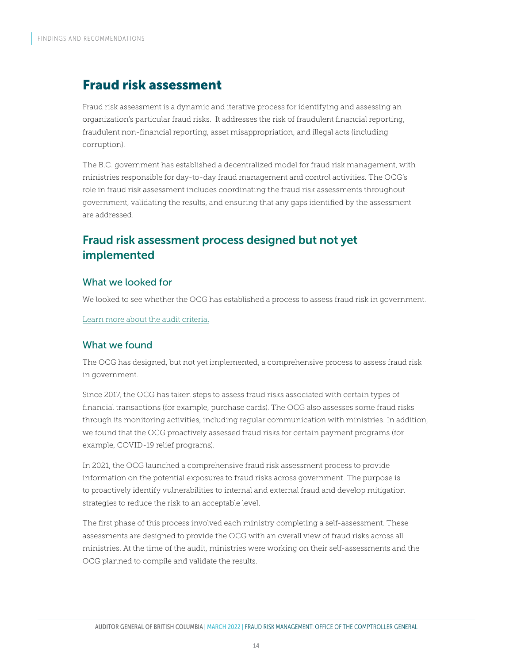## Fraud risk assessment

Fraud risk assessment is a dynamic and iterative process for identifying and assessing an organization's particular fraud risks. It addresses the risk of fraudulent financial reporting, fraudulent non-financial reporting, asset misappropriation, and illegal acts (including corruption).

The B.C. government has established a decentralized model for fraud risk management, with ministries responsible for day-to-day fraud management and control activities. The OCG's role in fraud risk assessment includes coordinating the fraud risk assessments throughout government, validating the results, and ensuring that any gaps identified by the assessment are addressed.

### Fraud risk assessment process designed but not yet implemented

### What we looked for

We looked to see whether the OCG has established a process to assess fraud risk in government.

[Learn more about the audit criteria.](#page-24-1)

### What we found

The OCG has designed, but not yet implemented, a comprehensive process to assess fraud risk in government.

Since 2017, the OCG has taken steps to assess fraud risks associated with certain types of financial transactions (for example, purchase cards). The OCG also assesses some fraud risks through its monitoring activities, including regular communication with ministries. In addition, we found that the OCG proactively assessed fraud risks for certain payment programs (for example, COVID-19 relief programs).

In 2021, the OCG launched a comprehensive fraud risk assessment process to provide information on the potential exposures to fraud risks across government. The purpose is to proactively identify vulnerabilities to internal and external fraud and develop mitigation strategies to reduce the risk to an acceptable level.

The first phase of this process involved each ministry completing a self-assessment. These assessments are designed to provide the OCG with an overall view of fraud risks across all ministries. At the time of the audit, ministries were working on their self-assessments and the OCG planned to compile and validate the results.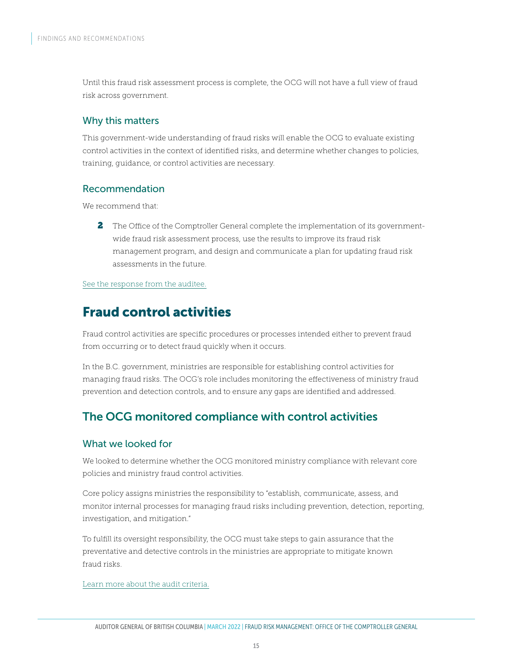Until this fraud risk assessment process is complete, the OCG will not have a full view of fraud risk across government.

#### Why this matters

This government-wide understanding of fraud risks will enable the OCG to evaluate existing control activities in the context of identified risks, and determine whether changes to policies, training, guidance, or control activities are necessary.

### Recommendation

We recommend that:

2 The Office of the Comptroller General complete the implementation of its governmentwide fraud risk assessment process, use the results to improve its fraud risk management program, and design and communicate a plan for updating fraud risk assessments in the future.

#### [See the response from the auditee.](#page-22-1)

## Fraud control activities

Fraud control activities are specific procedures or processes intended either to prevent fraud from occurring or to detect fraud quickly when it occurs.

In the B.C. government, ministries are responsible for establishing control activities for managing fraud risks. The OCG's role includes monitoring the effectiveness of ministry fraud prevention and detection controls, and to ensure any gaps are identified and addressed.

## The OCG monitored compliance with control activities

#### What we looked for

We looked to determine whether the OCG monitored ministry compliance with relevant core policies and ministry fraud control activities.

Core policy assigns ministries the responsibility to "establish, communicate, assess, and monitor internal processes for managing fraud risks including prevention, detection, reporting, investigation, and mitigation."

To fulfill its oversight responsibility, the OCG must take steps to gain assurance that the preventative and detective controls in the ministries are appropriate to mitigate known fraud risks.

[Learn more about the audit criteria.](#page-24-1)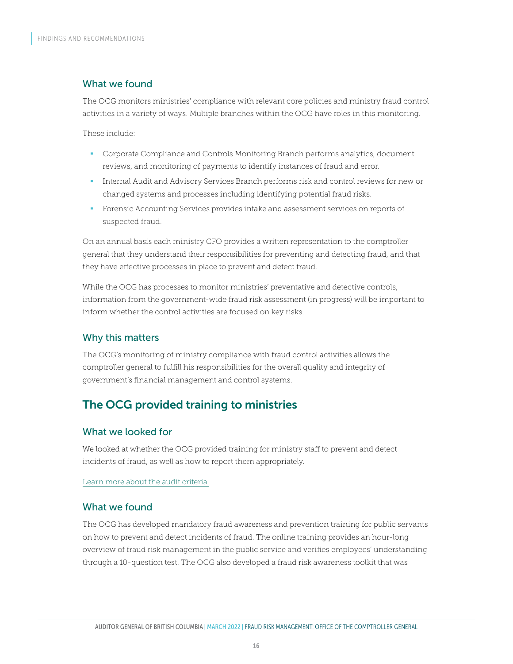### What we found

The OCG monitors ministries' compliance with relevant core policies and ministry fraud control activities in a variety of ways. Multiple branches within the OCG have roles in this monitoring.

These include:

- **Corporate Compliance and Controls Monitoring Branch performs analytics, document** reviews, and monitoring of payments to identify instances of fraud and error.
- Internal Audit and Advisory Services Branch performs risk and control reviews for new or changed systems and processes including identifying potential fraud risks.
- **Forensic Accounting Services provides intake and assessment services on reports of** suspected fraud.

On an annual basis each ministry CFO provides a written representation to the comptroller general that they understand their responsibilities for preventing and detecting fraud, and that they have effective processes in place to prevent and detect fraud.

While the OCG has processes to monitor ministries' preventative and detective controls, information from the government-wide fraud risk assessment (in progress) will be important to inform whether the control activities are focused on key risks.

#### Why this matters

The OCG's monitoring of ministry compliance with fraud control activities allows the comptroller general to fulfill his responsibilities for the overall quality and integrity of government's financial management and control systems.

### The OCG provided training to ministries

#### What we looked for

We looked at whether the OCG provided training for ministry staff to prevent and detect incidents of fraud, as well as how to report them appropriately.

[Learn more about the audit criteria.](#page-24-1)

#### What we found

The OCG has developed mandatory fraud awareness and prevention training for public servants on how to prevent and detect incidents of fraud. The online training provides an hour-long overview of fraud risk management in the public service and verifies employees' understanding through a 10-question test. The OCG also developed a fraud risk awareness toolkit that was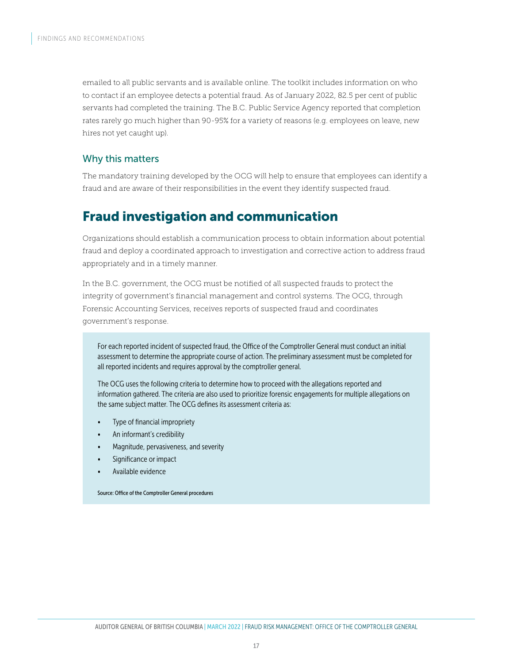emailed to all public servants and is available online. The toolkit includes information on who to contact if an employee detects a potential fraud. As of January 2022, 82.5 per cent of public servants had completed the training. The B.C. Public Service Agency reported that completion rates rarely go much higher than 90-95% for a variety of reasons (e.g. employees on leave, new hires not yet caught up).

### Why this matters

The mandatory training developed by the OCG will help to ensure that employees can identify a fraud and are aware of their responsibilities in the event they identify suspected fraud.

## Fraud investigation and communication

Organizations should establish a communication process to obtain information about potential fraud and deploy a coordinated approach to investigation and corrective action to address fraud appropriately and in a timely manner.

In the B.C. government, the OCG must be notified of all suspected frauds to protect the integrity of government's financial management and control systems. The OCG, through Forensic Accounting Services, receives reports of suspected fraud and coordinates government's response.

For each reported incident of suspected fraud, the Office of the Comptroller General must conduct an initial assessment to determine the appropriate course of action. The preliminary assessment must be completed for all reported incidents and requires approval by the comptroller general.

The OCG uses the following criteria to determine how to proceed with the allegations reported and information gathered. The criteria are also used to prioritize forensic engagements for multiple allegations on the same subject matter. The OCG defines its assessment criteria as:

- Type of financial impropriety
- An informant's credibility
- Magnitude, pervasiveness, and severity
- Significance or impact
- Available evidence

Source: Office of the Comptroller General procedures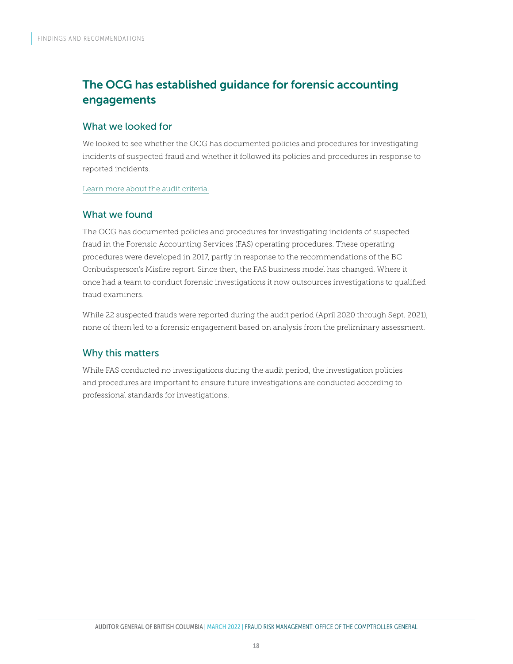## The OCG has established guidance for forensic accounting engagements

#### What we looked for

We looked to see whether the OCG has documented policies and procedures for investigating incidents of suspected fraud and whether it followed its policies and procedures in response to reported incidents.

[Learn more about the audit criteria.](#page-24-1)

### What we found

The OCG has documented policies and procedures for investigating incidents of suspected fraud in the Forensic Accounting Services (FAS) operating procedures. These operating procedures were developed in 2017, partly in response to the recommendations of the BC Ombudsperson's Misfire report. Since then, the FAS business model has changed. Where it once had a team to conduct forensic investigations it now outsources investigations to qualified fraud examiners.

While 22 suspected frauds were reported during the audit period (April 2020 through Sept. 2021), none of them led to a forensic engagement based on analysis from the preliminary assessment.

### Why this matters

While FAS conducted no investigations during the audit period, the investigation policies and procedures are important to ensure future investigations are conducted according to professional standards for investigations.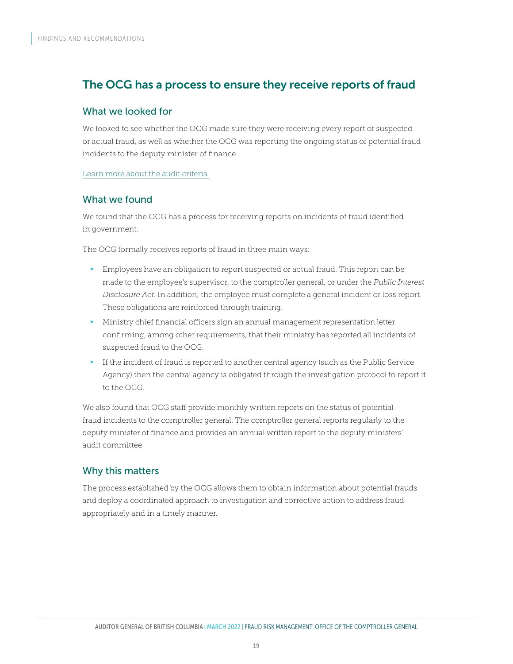### The OCG has a process to ensure they receive reports of fraud

#### What we looked for

We looked to see whether the OCG made sure they were receiving every report of suspected or actual fraud, as well as whether the OCG was reporting the ongoing status of potential fraud incidents to the deputy minister of finance.

[Learn more about the audit criteria.](#page-24-1)

### What we found

We found that the OCG has a process for receiving reports on incidents of fraud identified in government.

The OCG formally receives reports of fraud in three main ways:

- **Employees have an obligation to report suspected or actual fraud. This report can be** made to the employee's supervisor, to the comptroller general, or under the *Public Interest Disclosure Act*. In addition, the employee must complete a general incident or loss report. These obligations are reinforced through training.
- Ministry chief financial officers sign an annual management representation letter confirming, among other requirements, that their ministry has reported all incidents of suspected fraud to the OCG.
- If the incident of fraud is reported to another central agency (such as the Public Service Agency) then the central agency is obligated through the investigation protocol to report it to the OCG.

We also found that OCG staff provide monthly written reports on the status of potential fraud incidents to the comptroller general. The comptroller general reports regularly to the deputy minister of finance and provides an annual written report to the deputy ministers' audit committee.

### Why this matters

The process established by the OCG allows them to obtain information about potential frauds and deploy a coordinated approach to investigation and corrective action to address fraud appropriately and in a timely manner.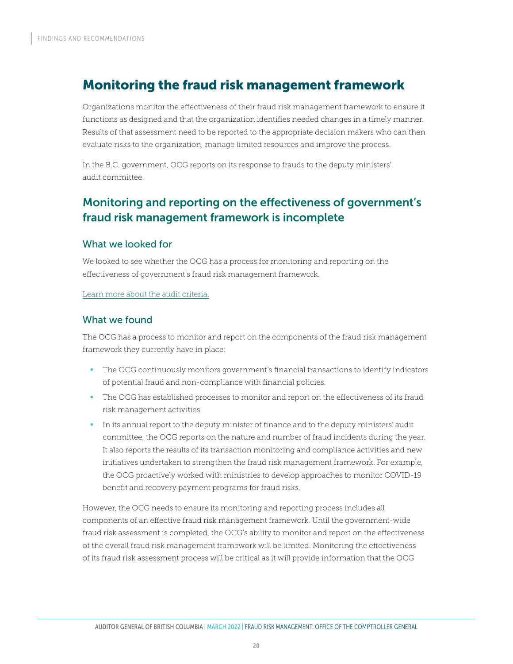## Monitoring the fraud risk management framework

Organizations monitor the effectiveness of their fraud risk management framework to ensure it functions as designed and that the organization identifies needed changes in a timely manner. Results of that assessment need to be reported to the appropriate decision makers who can then evaluate risks to the organization, manage limited resources and improve the process.

In the B.C. government, OCG reports on its response to frauds to the deputy ministers' audit committee.

### Monitoring and reporting on the effectiveness of government's fraud risk management framework is incomplete

#### What we looked for

We looked to see whether the OCG has a process for monitoring and reporting on the effectiveness of government's fraud risk management framework.

#### [Learn more about the audit criteria.](#page-24-1)

#### What we found

The OCG has a process to monitor and report on the components of the fraud risk management framework they currently have in place:

- The OCG continuously monitors government's financial transactions to identify indicators of potential fraud and non-compliance with financial policies.
- The OCG has established processes to monitor and report on the effectiveness of its fraud risk management activities.
- In its annual report to the deputy minister of finance and to the deputy ministers' audit committee, the OCG reports on the nature and number of fraud incidents during the year. It also reports the results of its transaction monitoring and compliance activities and new initiatives undertaken to strengthen the fraud risk management framework. For example, the OCG proactively worked with ministries to develop approaches to monitor COVID-19 benefit and recovery payment programs for fraud risks.

However, the OCG needs to ensure its monitoring and reporting process includes all components of an effective fraud risk management framework. Until the government-wide fraud risk assessment is completed, the OCG's ability to monitor and report on the effectiveness of the overall fraud risk management framework will be limited. Monitoring the effectiveness of its fraud risk assessment process will be critical as it will provide information that the OCG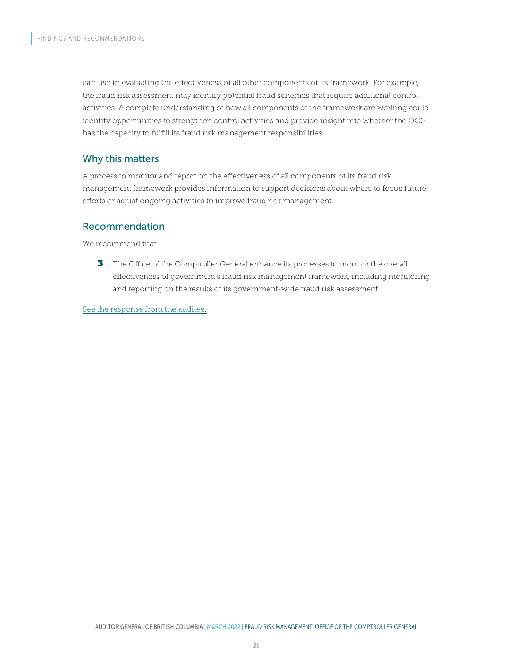can use in evaluating the effectiveness of all other components of its framework. For example, the fraud risk assessment may identify potential fraud schemes that require additional control activities. A complete understanding of how all components of the framework are working could identify opportunities to strengthen control activities and provide insight into whether the OCG has the capacity to fulfill its fraud risk management responsibilities.

### Why this matters

A process to monitor and report on the effectiveness of all components of its fraud risk management framework provides information to support decisions about where to focus future efforts or adjust ongoing activities to improve fraud risk management.

### Recommendation

We recommend that:

**3** The Office of the Comptroller General enhance its processes to monitor the overall effectiveness of government's fraud risk management framework, including monitoring and reporting on the results of its government-wide fraud risk assessment.

[See the response from the auditee.](#page-22-1)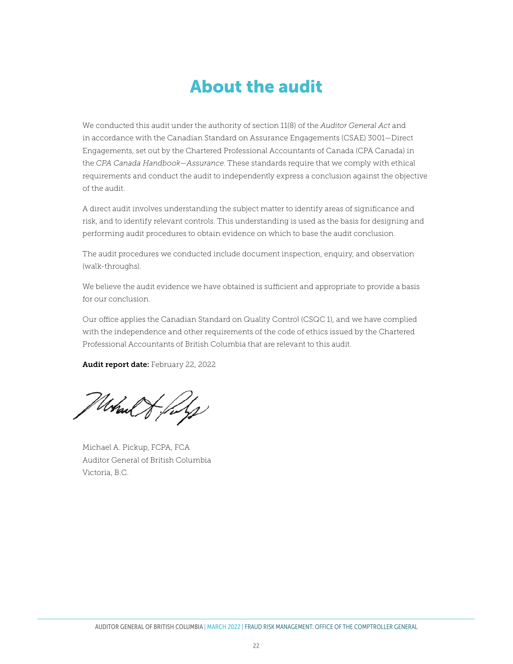# <span id="page-21-1"></span>About the audit

<span id="page-21-0"></span>We conducted this audit under the authority of section 11(8) of the *Auditor General Act* and in accordance with the Canadian Standard on Assurance Engagements (CSAE) 3001—Direct Engagements, set out by the Chartered Professional Accountants of Canada (CPA Canada) in the *CPA Canada Handbook—Assurance*. These standards require that we comply with ethical requirements and conduct the audit to independently express a conclusion against the objective of the audit.

A direct audit involves understanding the subject matter to identify areas of significance and risk, and to identify relevant controls. This understanding is used as the basis for designing and performing audit procedures to obtain evidence on which to base the audit conclusion.

The audit procedures we conducted include document inspection, enquiry, and observation (walk-throughs).

We believe the audit evidence we have obtained is sufficient and appropriate to provide a basis for our conclusion.

Our office applies the Canadian Standard on Quality Control (CSQC 1), and we have complied with the independence and other requirements of the code of ethics issued by the Chartered Professional Accountants of British Columbia that are relevant to this audit.

Audit report date: February 22, 2022

March of files

Michael A. Pickup, FCPA, FCA Auditor General of British Columbia Victoria, B.C.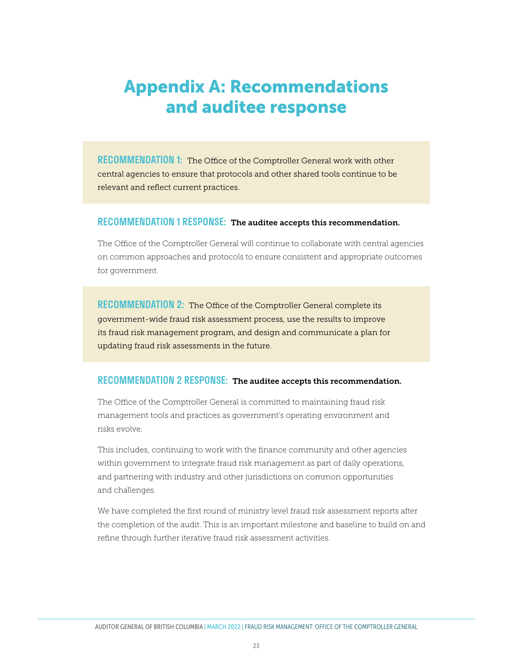# <span id="page-22-1"></span><span id="page-22-0"></span>Appendix A: Recommendations and auditee response

RECOMMENDATION 1: The Office of the Comptroller General work with other central agencies to ensure that protocols and other shared tools continue to be relevant and reflect current practices.

#### RECOMMENDATION 1 RESPONSE: The auditee accepts this recommendation.

The Office of the Comptroller General will continue to collaborate with central agencies on common approaches and protocols to ensure consistent and appropriate outcomes for government.

RECOMMENDATION 2: The Office of the Comptroller General complete its government-wide fraud risk assessment process, use the results to improve its fraud risk management program, and design and communicate a plan for updating fraud risk assessments in the future.

#### RECOMMENDATION 2 RESPONSE: The auditee accepts this recommendation.

The Office of the Comptroller General is committed to maintaining fraud risk management tools and practices as government's operating environment and risks evolve.

This includes, continuing to work with the finance community and other agencies within government to integrate fraud risk management as part of daily operations, and partnering with industry and other jurisdictions on common opportunities and challenges.

We have completed the first round of ministry level fraud risk assessment reports after the completion of the audit. This is an important milestone and baseline to build on and refine through further iterative fraud risk assessment activities.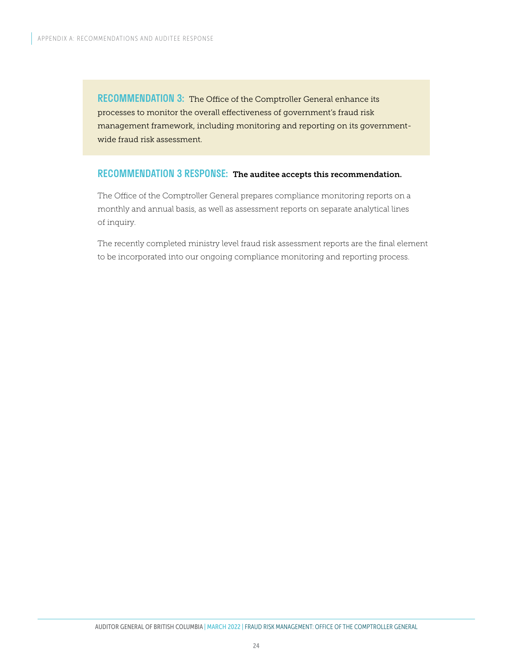RECOMMENDATION 3: The Office of the Comptroller General enhance its processes to monitor the overall effectiveness of government's fraud risk management framework, including monitoring and reporting on its governmentwide fraud risk assessment.

### RECOMMENDATION 3 RESPONSE: The auditee accepts this recommendation.

The Office of the Comptroller General prepares compliance monitoring reports on a monthly and annual basis, as well as assessment reports on separate analytical lines of inquiry.

The recently completed ministry level fraud risk assessment reports are the final element to be incorporated into our ongoing compliance monitoring and reporting process.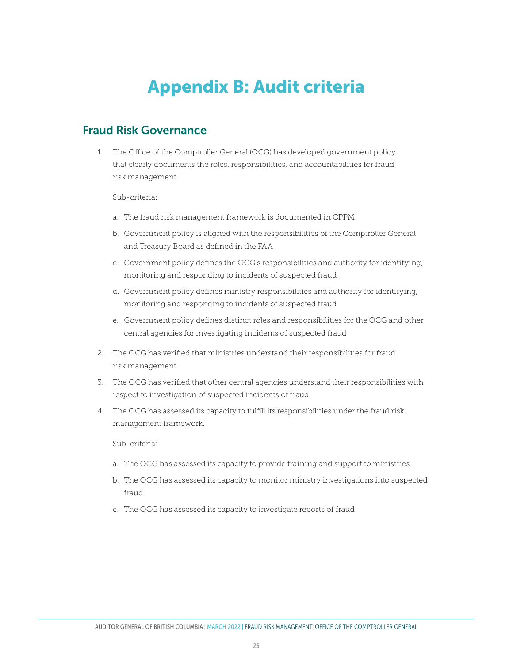# <span id="page-24-1"></span>Appendix B: Audit criteria

### <span id="page-24-0"></span>Fraud Risk Governance

1. The Office of the Comptroller General (OCG) has developed government policy that clearly documents the roles, responsibilities, and accountabilities for fraud risk management.

Sub-criteria:

- a. The fraud risk management framework is documented in CPPM
- b. Government policy is aligned with the responsibilities of the Comptroller General and Treasury Board as defined in the FAA
- c. Government policy defines the OCG's responsibilities and authority for identifying, monitoring and responding to incidents of suspected fraud
- d. Government policy defines ministry responsibilities and authority for identifying, monitoring and responding to incidents of suspected fraud
- e. Government policy defines distinct roles and responsibilities for the OCG and other central agencies for investigating incidents of suspected fraud
- 2. The OCG has verified that ministries understand their responsibilities for fraud risk management.
- 3. The OCG has verified that other central agencies understand their responsibilities with respect to investigation of suspected incidents of fraud.
- 4. The OCG has assessed its capacity to fulfill its responsibilities under the fraud risk management framework.

Sub-criteria:

- a. The OCG has assessed its capacity to provide training and support to ministries
- b. The OCG has assessed its capacity to monitor ministry investigations into suspected fraud
- c. The OCG has assessed its capacity to investigate reports of fraud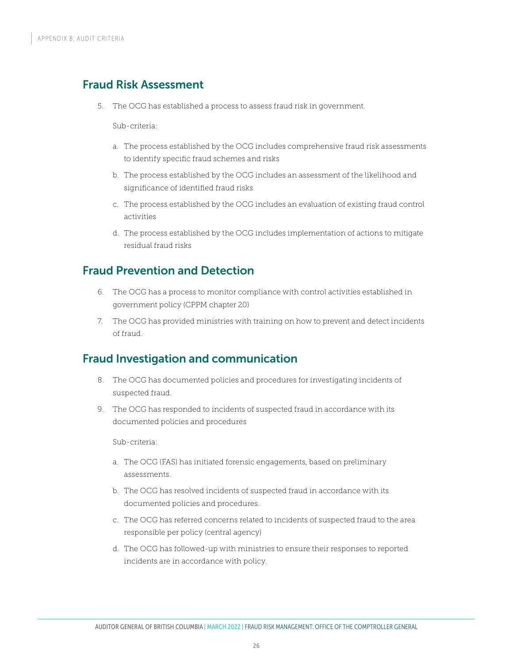### Fraud Risk Assessment

5. The OCG has established a process to assess fraud risk in government.

Sub-criteria:

- a. The process established by the OCG includes comprehensive fraud risk assessments to identify specific fraud schemes and risks
- b. The process established by the OCG includes an assessment of the likelihood and significance of identified fraud risks
- c. The process established by the OCG includes an evaluation of existing fraud control activities
- d. The process established by the OCG includes implementation of actions to mitigate residual fraud risks

### Fraud Prevention and Detection

- 6. The OCG has a process to monitor compliance with control activities established in government policy (CPPM chapter 20)
- 7. The OCG has provided ministries with training on how to prevent and detect incidents of fraud.

### Fraud Investigation and communication

- 8. The OCG has documented policies and procedures for investigating incidents of suspected fraud.
- 9. The OCG has responded to incidents of suspected fraud in accordance with its documented policies and procedures

Sub-criteria:

- a. The OCG (FAS) has initiated forensic engagements, based on preliminary assessments.
- b. The OCG has resolved incidents of suspected fraud in accordance with its documented policies and procedures.
- c. The OCG has referred concerns related to incidents of suspected fraud to the area responsible per policy (central agency)
- d. The OCG has followed-up with ministries to ensure their responses to reported incidents are in accordance with policy.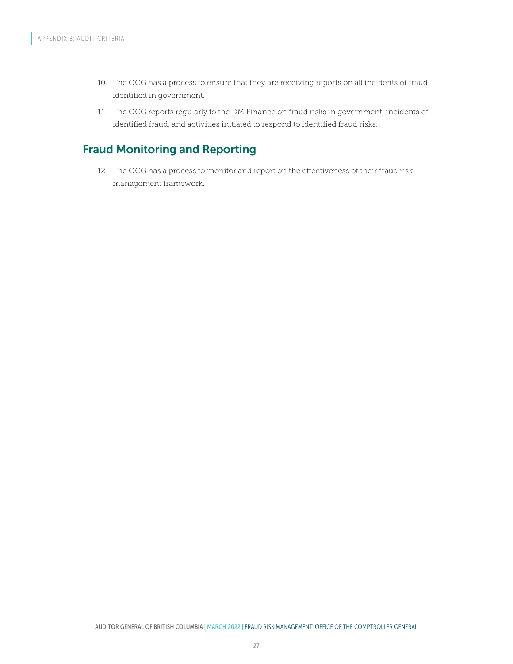- 10. The OCG has a process to ensure that they are receiving reports on all incidents of fraud identified in government.
- 11. The OCG reports regularly to the DM Finance on fraud risks in government, incidents of identified fraud, and activities initiated to respond to identified fraud risks.

### Fraud Monitoring and Reporting

12. The OCG has a process to monitor and report on the effectiveness of their fraud risk management framework.